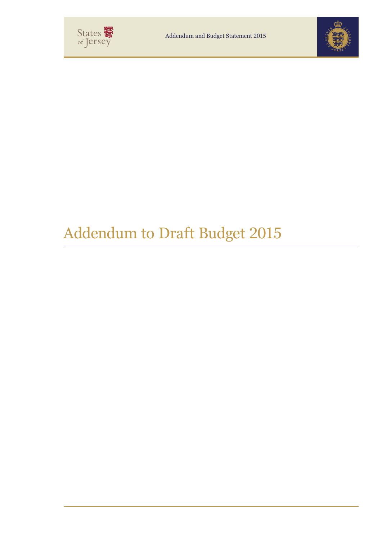



# Addendum to Draft Budget 2015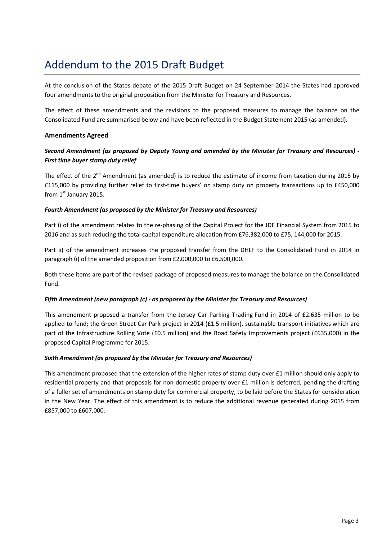## Addendum to the 2015 Draft Budget **Canadian Addendum** to the 2015 Draft Budget

At the conclusion of the States debate of the 2015 Draft Budget on 24 September 2014 the States had approved four amendments to the original proposition from the Minister for Treasury and Resources.

The effect of these amendments and the revisions to the proposed measures to manage the balance on the Consolidated Fund are summarised below and have been reflected in the Budget Statement 2015 (as amended).

#### *Second Amendment (as proposed by Deputy Young and amended by the Minister for Treasury and Resources) -* **Amendments Agreed**

#### *First time buyer stamp duty relief Second Amendment (as proposed by Deputy Young and amended by the Minister for Treasury and Resources) -* The effect of the 2nd Amendment (as amended) is to reduce the estimate of income from taxation during 2015 by  $\frac{1}{2}$ *First time buyer stamp duty relief*

The effect of the 2<sup>nd</sup> Amendment (as amended) is to reduce the estimate of income from taxation during 2015 by £115,000 by providing further relief to first-time buyers' on stamp duty on property transactions up to £450,000 from  $1<sup>st</sup>$  January 2015.

#### *Fourth Amendment (as proposed by the Minister for Treasury and Resources)*

Part i) of the amendment relates to the re-phasing of the Capital Project for the JDE Financial System from 2015 to 2016 and as such reducing the total capital expenditure allocation from £76,382,000 to £75, 144,000 for 2015. 2016 and as such reducing the total capital expenditure allocation from £76,382,000 to £75, 144,000 for 2015.

Part ii) of the amendment increases the proposed transfer from the DHLF to the Consolidated Fund in 2014 in Part ii) of the amendment increases the proposed transfer from the DHLF to the Consolidated Fund in 2014 in paragraph (i) of the amended proposition from £2,000,000 to £6,500,000. paragraph (i) of the amended proposition from £2,000,000 to £6,500,000.

Both these items are part of the revised package of proposed measures to manage the balance on the Consolidated Both these items are part of the revised package of proposed measures to manage the balance on the Consolidated Fund.

#### *Fifth Amendment (new paragraph (c) - as proposed by the Minister for Treasury and Resources) Fifth Amendment (new paragraph (c) - as proposed by the Minister for Treasury and Resources)*

This amendment proposed a transfer from the Jersey Car Parking Trading Fund in 2014 of £2.635 million to be This amendment proposed a transfer from the Jersey Car Parking Trading Fund in 2014 of £2.635 million to be applied to fund; the Green Street Car Park project in 2014 (£1.5 million), sustainable transport initiatives which are part of the Infrastructure Rolling Vote (£0.5 million) and the Road Safety Improvements project (£635,000) in the proposed Capital Programme for 2015. proposed Capital Programme for 2015.

## *Sixth Amendment (as proposed by the Minister for Treasury and Resources) Sixth Amendment (as proposed by the Minister for Treasury and Resources)*

This amendment proposed that the extension of the higher rates of stamp duty over £1 million should only apply to residential property and that proposals for non-domestic property over £1 million is deferred, pending the drafting<br>Case is a control of the control of the control of the control of the control of the control of the contro of a fuller set of amendments on stamp duty for commercial property, to be laid before the States for consideration in the New Year. The effect of this amendment is to reduce the additional revenue generated during 2015 from  $\mathcal{B}$ of a fuller set of amendments on stamp duty for commercial property, to be laid before the States for consideration in the New Year. The effect of this amendment is to reduce the additional revenue generated during 2015 from £857,000 to £607,000.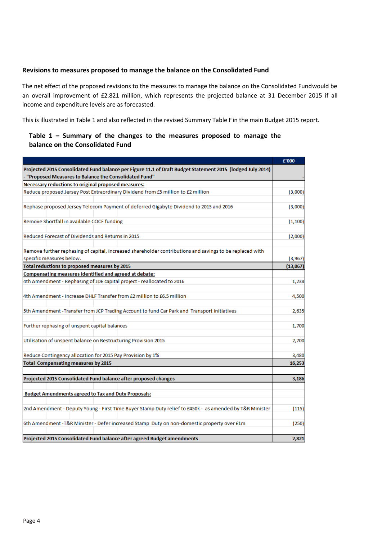### Revisions to measures proposed to manage the balance on the Consolidated Fund

The net effect of the proposed revisions to the measures to manage the balance on the Consolidated Fundwould be an overall improvement of £2.821 million, which represents the projected balance at 31 December 2015 if all income and expenditure levels are as forecasted.<br> **income and expenditure levels are as forecasted**.

This is illustrated in Table 1 and also reflected in the revised Summary Table F in the main Budget 2015 report.<br>

#### Table 1 – Summary of the changes to the measures proposed to manage the **balance on the Consolidated Fund**

|                                                                                                                                                                      | £'000    |
|----------------------------------------------------------------------------------------------------------------------------------------------------------------------|----------|
| Projected 2015 Consolidated Fund balance per Figure 11.1 of Draft Budget Statement 2015 (lodged July 2014)<br>- "Proposed Measures to Balance the Consolidated Fund" |          |
| Necessary reductions to original proposed measures:                                                                                                                  |          |
| Reduce proposed Jersey Post Extraordinary Dividend from £5 million to £2 million                                                                                     | (3,000)  |
|                                                                                                                                                                      |          |
| Rephase proposed Jersey Telecom Payment of deferred Gigabyte Dividend to 2015 and 2016                                                                               | (3,000)  |
| Remove Shortfall in available COCF funding                                                                                                                           | (1, 100) |
| Reduced Forecast of Dividends and Returns in 2015                                                                                                                    | (2,000)  |
| Remove further rephasing of capital, increased shareholder contributions and savings to be replaced with                                                             |          |
| specific measures below.                                                                                                                                             | (3,967)  |
| Total reductions to proposed measures by 2015                                                                                                                        | (13,067) |
| Compensating measures identified and agreed at debate:                                                                                                               |          |
| 4th Amendment - Rephasing of JDE capital project - reallocated to 2016                                                                                               | 1,238    |
| 4th Amendment - Increase DHLF Transfer from £2 million to £6.5 million                                                                                               | 4,500    |
| 5th Amendment - Transfer from JCP Trading Account to fund Car Park and Transport initiatives                                                                         | 2,635    |
| Further rephasing of unspent capital balances                                                                                                                        | 1,700    |
| Utilisation of unspent balance on Restructuring Provision 2015                                                                                                       | 2,700    |
|                                                                                                                                                                      |          |
| Reduce Contingency allocation for 2015 Pay Provision by 1%                                                                                                           | 3,480    |
| <b>Total Compensating measures by 2015</b>                                                                                                                           | 16,253   |
| Projected 2015 Consolidated Fund balance after proposed changes                                                                                                      | 3,186    |
|                                                                                                                                                                      |          |
| <b>Budget Amendments agreed to Tax and Duty Proposals:</b>                                                                                                           |          |
| 2nd Amendment - Deputy Young - First Time Buyer Stamp Duty relief to £450k - as amended by T&R Minister                                                              | (115)    |
| 6th Amendment -T&R Minister - Defer increased Stamp Duty on non-domestic property over £1m                                                                           | (250)    |
| Projected 2015 Consolidated Fund balance after agreed Budget amendments                                                                                              | 2,821    |
|                                                                                                                                                                      |          |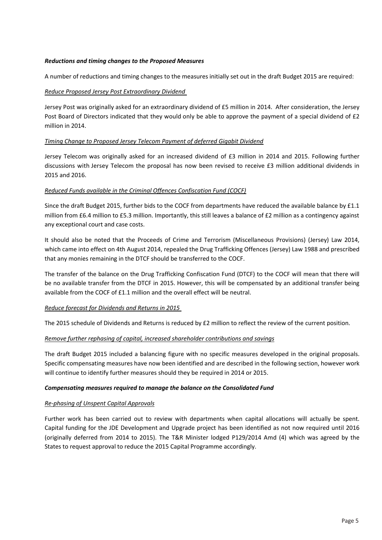#### Reductions and timing changes to the Proposed Measures

A number of reductions and timing changes to the measures initially set out in the draft Budget 2015 are required:

## *Reduce Proposed Jersey Post Extraordinary Dividend* **Extraordinary proposed and** *Reduce Proposed Jersey Post Extraordinary Dividend* **and** *After consideration***, the After consideration, the After consideration, the After c**

Jersey Post was originally asked for an extraordinary dividend of £5 million in 2014. After consideration, the Jersey Post Board of Directors indicated that they would only be able to approve the payment of a special dividend of £2 *Timing Change to Proposed Jersey Telecom Payment of deferred Gigabit Dividend* million in 2014.

#### $\overline{J}$  ,  $\overline{J}$  as a sequence originally as an increased dividend of  $\overline{J}$  and  $\overline{J}$  and  $\overline{J}$  further further  $\overline{J}$ *Timing Change to Proposed Jersey Telecom Payment of deferred Gigabit Dividend*

Jersey Telecom was originally asked for an increased dividend of £3 million in 2014 and 2015. Following further discussions with Jersey Telecom the proposal has now been revised to receive £3 million additional dividends in 2015 and 2016.

#### *Reduced Funds available in the Criminal Offences Confiscation Fund (COCF)*

Since the draft Budget 2015, further bids to the COCF from departments have reduced the available balance by £1.1 million from £6.4 million to £5.3 million. Importantly, this still leaves a balance of £2 million as a contingency against any exceptional court and case costs.

It should also be noted that the Proceeds of Crime and Terrorism (Miscellaneous Provisions) (Jersey) Law 2014, It should also be noted that the Proceeds of Crime and Terrorism (Miscellaneous Provisions) (Jersey) Law 2014, which came into effect on 4th August 2014, repealed the Drug Trafficking Offences (Jersey) Law 1988 and prescribed that any monies remaining in the DTCF should be transferred to the COCF. that any monies remaining in the DTCF should be transferred to the COCF.

The transfer of the balance on the Drug Trafficking Confiscation Fund (DTCF) to the COCF will mean that there will be no available transfer from the DTCF in 2015. However, this will be compensated by an additional transfer being available from the COCF of £1.1 million and the overall effect will be neutral. available from the COCF of £1.1 million and the overall effect will be neutral.

#### *Reduce forecast for Dividends and Returns in 2015 Reduce forecast for Dividends and Returns in 2015*

The 2015 schedule of Dividends and Returns is reduced by £2 million to reflect the review of the current position.

#### *Remove further rephasing of capital, increased shareholder contributions and savings Remove further rephasing of capital, increased shareholder contributions and savings*

The draft Budget 2015 included a balancing figure with no specific measures developed in the original proposals. Specific compensating measures have now been identified and are described in the following section, however work will continue to identify further measures should they be required in 2014 or 2015. will continue to identify further measures should they be required in 2014 or 2015.

## *Compensating measures required to manage the balance on the Consolidated Fund Compensating measures required to manage the balance on the Consolidated Fund*

#### *Re-phasing of Unspent Capital Approvals Re-phasing of Unspent Capital Approvals*

Capital funding for the JDE Development and Upgrade project has been identified as not now required until 2016 (originally deferred from 2014 to 2015). The T&R Minister lodged P129/2014 Amd (4) which was agreed by the States to request approval to reduce the 2015 Capital Programme accordingly. Further work has been carried out to review with departments when capital allocations will actually be spent.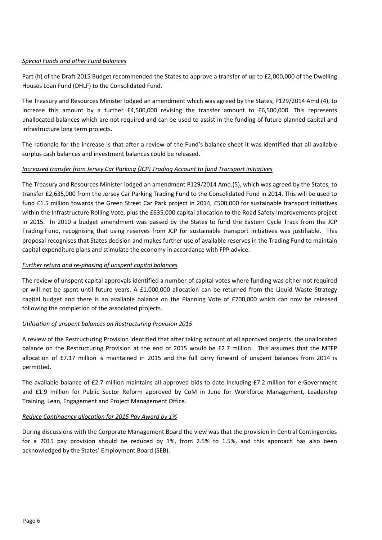#### Part (h) of the Draft 2015 Budget recommended the States to approve a transfer of up to £2,000,000 of the Dwelling *Special Funds and other Fund balances*

Part (h) of the Draft 2015 Budget recommended the States to approve a transfer of up to £2,000,000 of the Dwelling Houses Loan Fund (DHLF) to the Consolidated Fund.

The Treasury and Resources Minister lodged an amendment which was agreed by the States, P129/2014 Amd.(4), to increase this amount by a further £4,500,000 revising the transfer amount to £6,500,000. This represents unallocated balances which are not required and can be used to assist in the funding of future planned capital and The rationale for the increase is that after a review of the Funds balance sheet it was identified that all available infrastructure long term projects.

The rationale for the increase is that after a review of the Fund's balance sheet it was identified that all available *Increased transfer from Jersey Car Parking (JCP) Trading Account to fund Transport initiatives* surplus cash balances and investment balances could be released.

#### *Increased transfer from Jersey Car Parking (JCP) Trading Account to fund Transport initiatives*

The Treasury and Resources Minister lodged an amendment P129/2014 Amd.(5), which was agreed by the States, to transfer £2,635,000 from the Jersey Car Parking Trading Fund to the Consolidated Fund in 2014. This will be used to fund £1.5 million towards the Green Street Car Park project in 2014, £500,000 for sustainable transport initiatives within the Infrastructure Rolling Vote, plus the £635,000 capital allocation to the Road Safety Improvements project<br>within the Infrastructure Rolling Vote, plus the £635,000 capital allocation to the Road Safety Improveme in 2015. In 2010 a budget amendment was passed by the states to faild the Eastern eyele frack from the servers<br>Trading Fund, recognising that using reserves from JCP for sustainable transport initiatives was justifiable. T proposal recognises that States decision and makes further use of available reserves in the Trading Fund to maintain capital expenditure plans and stimulate the economy in accordance with FPP advice. capital expenditure plans and stimulate the economy in accordance with FPP advice. in 2015. In 2010 a budget amendment was passed by the States to fund the Eastern Cycle Track from the JCP

### *Further return and re-phasing of unspent capital balances Further return and re-phasing of unspent capital balances*

The review of unspent capital approvals identified a number of capital votes where funding was either not required or will not be spent until future years. A £1,000,000 allocation can be returned from the Liquid Waste Strategy or will not be spent until future years. A £1,000,000 allocation can be returned from the Liquid Waste Strategy capital budget and there is an available balance on the Planning Vote of £700,000 which can now be released capital budget and there is an available balance on the Planning Vote of £700,000 which can now be released following the completion of the associated projects. following the completion of the associated projects.

#### *Utilisation of unspent balances on Restructuring Provision 2015 Utilisation of unspent balances on Restructuring Provision 2015*

A review of the Restructuring Provision identified that after taking account of all approved projects, the unallocated balance on the Restructuring Provision at the end of 2015 would be £2.7 million. This assumes that the MTFP balance on the Restructuring Provision at the end of 2015 would be £2.7 million. This assumes that the MTFP allocation of £7.17 million is maintained in 2015 and the full carry forward of unspent balances from 2014 is allocation of £7.17 million is maintained in 2015 and the full carry forward of unspent balances from 2014 is permitted. permitted.

The available balance of £2.7 million maintains all approved bids to date including £7.2 million for e-Government and £1.9 million for Public Sector Reform approved by CoM in June for Workforce Management, Leadership<br>This is a section of the state of the section of the section of the section of the section of the section of t Training, Lean, Engagement and Project Management Office. Training, Lean, Engagement and Project Management Office.

#### *Reduce Contingency allocation for 2015 Pay Award by 1% Reduce Contingency allocation for 2015 Pay Award by 1%*

for a 2015 pay provision should be reduced by 1%, from 2.5% to 1.5%, and this approach has also been acknowledged by the States' Employment Board (SEB). During discussions with the Corporate Management Board the view was that the provision in Central Contingencies